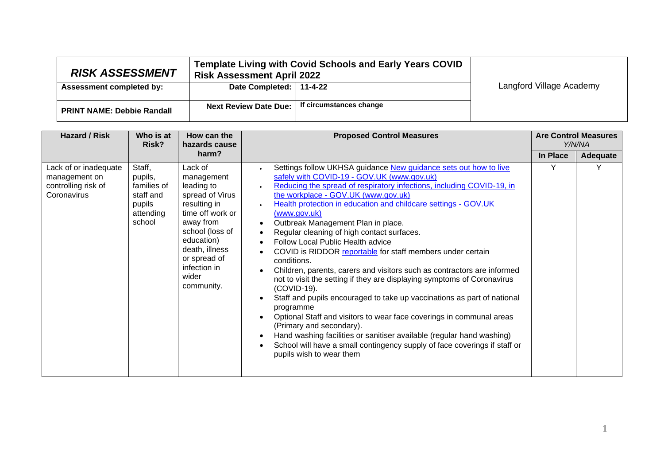| <b>RISK ASSESSMENT</b>            | Template Living with Covid Schools and Early Years COVID<br><b>Risk Assessment April 2022</b> |                         |                          |
|-----------------------------------|-----------------------------------------------------------------------------------------------|-------------------------|--------------------------|
| <b>Assessment completed by:</b>   | Date Completed:   11-4-22                                                                     |                         | Langford Village Academy |
|                                   |                                                                                               |                         |                          |
| <b>PRINT NAME: Debbie Randall</b> | Next Review Date Due:                                                                         | If circumstances change |                          |

| <b>Hazard / Risk</b>                                                         | Who is at<br>Risk?                                                             | How can the<br>hazards cause                                                                                                                                                                                      | <b>Proposed Control Measures</b>                                                                                                                                                                                                                                                                                                                                                                                                                                                                                                                                                                                                                                                                                                                                                                                                                                                                                                                                                                                                                                          |          | <b>Are Control Measures</b><br>Y/N/NA |
|------------------------------------------------------------------------------|--------------------------------------------------------------------------------|-------------------------------------------------------------------------------------------------------------------------------------------------------------------------------------------------------------------|---------------------------------------------------------------------------------------------------------------------------------------------------------------------------------------------------------------------------------------------------------------------------------------------------------------------------------------------------------------------------------------------------------------------------------------------------------------------------------------------------------------------------------------------------------------------------------------------------------------------------------------------------------------------------------------------------------------------------------------------------------------------------------------------------------------------------------------------------------------------------------------------------------------------------------------------------------------------------------------------------------------------------------------------------------------------------|----------|---------------------------------------|
|                                                                              |                                                                                | harm?                                                                                                                                                                                                             |                                                                                                                                                                                                                                                                                                                                                                                                                                                                                                                                                                                                                                                                                                                                                                                                                                                                                                                                                                                                                                                                           | In Place | Adequate                              |
| Lack of or inadequate<br>management on<br>controlling risk of<br>Coronavirus | Staff,<br>pupils,<br>families of<br>staff and<br>pupils<br>attending<br>school | Lack of<br>management<br>leading to<br>spread of Virus<br>resulting in<br>time off work or<br>away from<br>school (loss of<br>education)<br>death, illness<br>or spread of<br>infection in<br>wider<br>community. | Settings follow UKHSA guidance New guidance sets out how to live<br>safely with COVID-19 - GOV.UK (www.gov.uk)<br>Reducing the spread of respiratory infections, including COVID-19, in<br>the workplace - GOV.UK (www.gov.uk)<br>Health protection in education and childcare settings - GOV.UK<br>(www.gov.uk)<br>Outbreak Management Plan in place.<br>Regular cleaning of high contact surfaces.<br>Follow Local Public Health advice<br>COVID is RIDDOR reportable for staff members under certain<br>conditions.<br>Children, parents, carers and visitors such as contractors are informed<br>not to visit the setting if they are displaying symptoms of Coronavirus<br>(COVID-19).<br>Staff and pupils encouraged to take up vaccinations as part of national<br>programme<br>Optional Staff and visitors to wear face coverings in communal areas<br>(Primary and secondary).<br>Hand washing facilities or sanitiser available (regular hand washing)<br>School will have a small contingency supply of face coverings if staff or<br>pupils wish to wear them |          |                                       |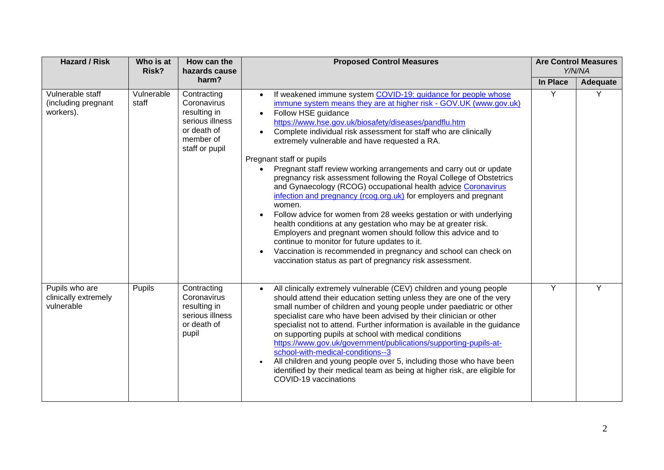| <b>Hazard / Risk</b>                                 | Who is at<br>Risk?  | How can the<br>hazards cause                                                                                | <b>Proposed Control Measures</b>                                                                                                                                                                                                                                                                                                                                                                                                                                                                                                                                                                                                                                                                                                                                                                                                                                                                                                                                                                                                                                                                                          |          | <b>Are Control Measures</b><br>Y/N/NA |
|------------------------------------------------------|---------------------|-------------------------------------------------------------------------------------------------------------|---------------------------------------------------------------------------------------------------------------------------------------------------------------------------------------------------------------------------------------------------------------------------------------------------------------------------------------------------------------------------------------------------------------------------------------------------------------------------------------------------------------------------------------------------------------------------------------------------------------------------------------------------------------------------------------------------------------------------------------------------------------------------------------------------------------------------------------------------------------------------------------------------------------------------------------------------------------------------------------------------------------------------------------------------------------------------------------------------------------------------|----------|---------------------------------------|
|                                                      |                     | harm?                                                                                                       |                                                                                                                                                                                                                                                                                                                                                                                                                                                                                                                                                                                                                                                                                                                                                                                                                                                                                                                                                                                                                                                                                                                           | In Place | <b>Adequate</b>                       |
| Vulnerable staff<br>(including pregnant<br>workers). | Vulnerable<br>staff | Contracting<br>Coronavirus<br>resulting in<br>serious illness<br>or death of<br>member of<br>staff or pupil | If weakened immune system COVID-19: guidance for people whose<br>$\bullet$<br>immune system means they are at higher risk - GOV.UK (www.gov.uk)<br>Follow HSE guidance<br>$\bullet$<br>https://www.hse.gov.uk/biosafety/diseases/pandflu.htm<br>Complete individual risk assessment for staff who are clinically<br>$\bullet$<br>extremely vulnerable and have requested a RA.<br>Pregnant staff or pupils<br>Pregnant staff review working arrangements and carry out or update<br>pregnancy risk assessment following the Royal College of Obstetrics<br>and Gynaecology (RCOG) occupational health advice Coronavirus<br>infection and pregnancy (rcog.org.uk) for employers and pregnant<br>women.<br>Follow advice for women from 28 weeks gestation or with underlying<br>$\bullet$<br>health conditions at any gestation who may be at greater risk.<br>Employers and pregnant women should follow this advice and to<br>continue to monitor for future updates to it.<br>Vaccination is recommended in pregnancy and school can check on<br>$\bullet$<br>vaccination status as part of pregnancy risk assessment. | Y        | Y                                     |
| Pupils who are<br>clinically extremely<br>vulnerable | Pupils              | Contracting<br>Coronavirus<br>resulting in<br>serious illness<br>or death of<br>pupil                       | All clinically extremely vulnerable (CEV) children and young people<br>should attend their education setting unless they are one of the very<br>small number of children and young people under paediatric or other<br>specialist care who have been advised by their clinician or other<br>specialist not to attend. Further information is available in the guidance<br>on supporting pupils at school with medical conditions<br>https://www.gov.uk/government/publications/supporting-pupils-at-<br>school-with-medical-conditions--3<br>All children and young people over 5, including those who have been<br>$\bullet$<br>identified by their medical team as being at higher risk, are eligible for<br>COVID-19 vaccinations                                                                                                                                                                                                                                                                                                                                                                                      | Y        | Y                                     |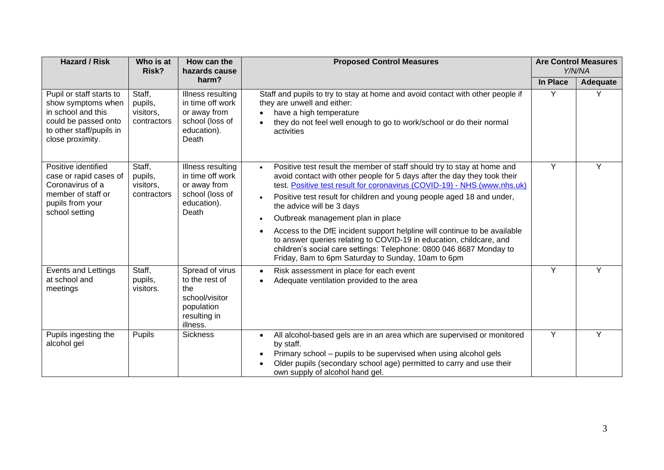| <b>Hazard / Risk</b>                                                                                                                         | Who is at<br>Risk?                            | How can the<br>hazards cause                                                                         | <b>Proposed Control Measures</b>                                                                                                                                                                                                                                                                                                                                                                                                                                                                                                                                                                                                                                         |          | <b>Are Control Measures</b><br>Y/N/NA |  |
|----------------------------------------------------------------------------------------------------------------------------------------------|-----------------------------------------------|------------------------------------------------------------------------------------------------------|--------------------------------------------------------------------------------------------------------------------------------------------------------------------------------------------------------------------------------------------------------------------------------------------------------------------------------------------------------------------------------------------------------------------------------------------------------------------------------------------------------------------------------------------------------------------------------------------------------------------------------------------------------------------------|----------|---------------------------------------|--|
|                                                                                                                                              |                                               | harm?                                                                                                |                                                                                                                                                                                                                                                                                                                                                                                                                                                                                                                                                                                                                                                                          | In Place | <b>Adequate</b>                       |  |
| Pupil or staff starts to<br>show symptoms when<br>in school and this<br>could be passed onto<br>to other staff/pupils in<br>close proximity. | Staff,<br>pupils,<br>visitors,<br>contractors | Illness resulting<br>in time off work<br>or away from<br>school (loss of<br>education).<br>Death     | Staff and pupils to try to stay at home and avoid contact with other people if<br>they are unwell and either:<br>have a high temperature<br>they do not feel well enough to go to work/school or do their normal<br>$\bullet$<br>activities                                                                                                                                                                                                                                                                                                                                                                                                                              | Y        | Y                                     |  |
| Positive identified<br>case or rapid cases of<br>Coronavirus of a<br>member of staff or<br>pupils from your<br>school setting                | Staff,<br>pupils,<br>visitors,<br>contractors | Illness resulting<br>in time off work<br>or away from<br>school (loss of<br>education).<br>Death     | Positive test result the member of staff should try to stay at home and<br>$\bullet$<br>avoid contact with other people for 5 days after the day they took their<br>test. Positive test result for coronavirus (COVID-19) - NHS (www.nhs.uk)<br>Positive test result for children and young people aged 18 and under,<br>the advice will be 3 days<br>Outbreak management plan in place<br>Access to the DfE incident support helpline will continue to be available<br>to answer queries relating to COVID-19 in education, childcare, and<br>children's social care settings: Telephone: 0800 046 8687 Monday to<br>Friday, 8am to 6pm Saturday to Sunday, 10am to 6pm | Y        | Υ                                     |  |
| Events and Lettings<br>at school and<br>meetings                                                                                             | Staff,<br>pupils,<br>visitors.                | Spread of virus<br>to the rest of<br>the<br>school/visitor<br>population<br>resulting in<br>illness. | Risk assessment in place for each event<br>$\bullet$<br>Adequate ventilation provided to the area                                                                                                                                                                                                                                                                                                                                                                                                                                                                                                                                                                        | Ÿ        | Y                                     |  |
| Pupils ingesting the<br>alcohol gel                                                                                                          | Pupils                                        | <b>Sickness</b>                                                                                      | All alcohol-based gels are in an area which are supervised or monitored<br>$\bullet$<br>by staff.<br>Primary school - pupils to be supervised when using alcohol gels<br>Older pupils (secondary school age) permitted to carry and use their<br>own supply of alcohol hand gel.                                                                                                                                                                                                                                                                                                                                                                                         | Y        | Y                                     |  |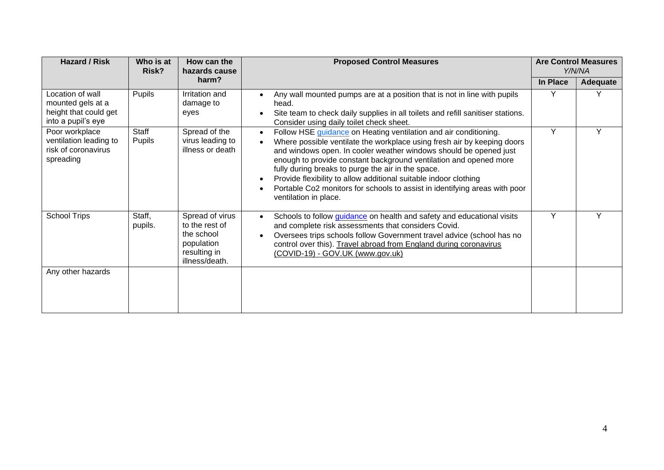| <b>Hazard / Risk</b>                                                                 | Who is at<br>Risk?     | How can the<br>hazards cause                                                                    | <b>Proposed Control Measures</b>                                                                                                                                                                                                                                                                                                                                                                                                                                                                                                    |          | <b>Are Control Measures</b><br>Y/N/NA |
|--------------------------------------------------------------------------------------|------------------------|-------------------------------------------------------------------------------------------------|-------------------------------------------------------------------------------------------------------------------------------------------------------------------------------------------------------------------------------------------------------------------------------------------------------------------------------------------------------------------------------------------------------------------------------------------------------------------------------------------------------------------------------------|----------|---------------------------------------|
|                                                                                      |                        | harm?                                                                                           |                                                                                                                                                                                                                                                                                                                                                                                                                                                                                                                                     | In Place | Adequate                              |
| Location of wall<br>mounted gels at a<br>height that could get<br>into a pupil's eye | Pupils                 | Irritation and<br>damage to<br>eyes                                                             | Any wall mounted pumps are at a position that is not in line with pupils<br>$\bullet$<br>head.<br>Site team to check daily supplies in all toilets and refill sanitiser stations.<br>$\bullet$<br>Consider using daily toilet check sheet.                                                                                                                                                                                                                                                                                          | Υ        |                                       |
| Poor workplace<br>ventilation leading to<br>risk of coronavirus<br>spreading         | Staff<br><b>Pupils</b> | Spread of the<br>virus leading to<br>illness or death                                           | Follow HSE guidance on Heating ventilation and air conditioning.<br>$\bullet$<br>Where possible ventilate the workplace using fresh air by keeping doors<br>and windows open. In cooler weather windows should be opened just<br>enough to provide constant background ventilation and opened more<br>fully during breaks to purge the air in the space.<br>Provide flexibility to allow additional suitable indoor clothing<br>Portable Co2 monitors for schools to assist in identifying areas with poor<br>ventilation in place. | Y        | $\checkmark$                          |
| <b>School Trips</b>                                                                  | Staff,<br>pupils.      | Spread of virus<br>to the rest of<br>the school<br>population<br>resulting in<br>illness/death. | Schools to follow <i>guidance</i> on health and safety and educational visits<br>$\bullet$<br>and complete risk assessments that considers Covid.<br>Oversees trips schools follow Government travel advice (school has no<br>$\bullet$<br>control over this). Travel abroad from England during coronavirus<br>(COVID-19) - GOV.UK (www.gov.uk)                                                                                                                                                                                    | Y        | $\checkmark$                          |
| Any other hazards                                                                    |                        |                                                                                                 |                                                                                                                                                                                                                                                                                                                                                                                                                                                                                                                                     |          |                                       |